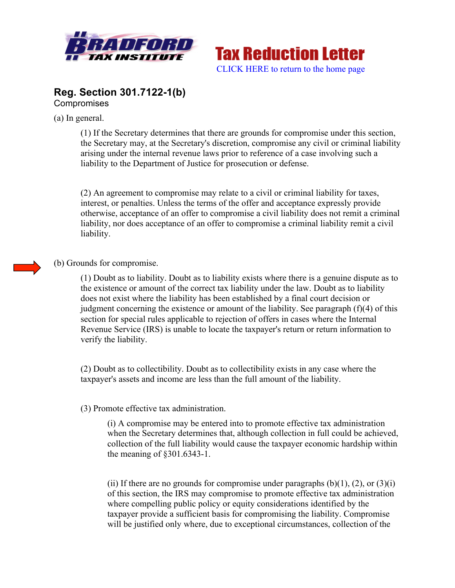



## **Reg. Section 301.7122-1(b) Compromises**

(a) In general.

(1) If the Secretary determines that there are grounds for compromise under this section, the Secretary may, at the Secretary's discretion, compromise any civil or criminal liability arising under the internal revenue laws prior to reference of a case involving such a liability to the Department of Justice for prosecution or defense.

(2) An agreement to compromise may relate to a civil or criminal liability for taxes, interest, or penalties. Unless the terms of the offer and acceptance expressly provide otherwise, acceptance of an offer to compromise a civil liability does not remit a criminal liability, nor does acceptance of an offer to compromise a criminal liability remit a civil liability.



(1) Doubt as to liability. Doubt as to liability exists where there is a genuine dispute as to the existence or amount of the correct tax liability under the law. Doubt as to liability does not exist where the liability has been established by a final court decision or judgment concerning the existence or amount of the liability. See paragraph (f)(4) of this section for special rules applicable to rejection of offers in cases where the Internal Revenue Service (IRS) is unable to locate the taxpayer's return or return information to verify the liability.

(2) Doubt as to collectibility. Doubt as to collectibility exists in any case where the taxpayer's assets and income are less than the full amount of the liability.

## (3) Promote effective tax administration.

(i) A compromise may be entered into to promote effective tax administration when the Secretary determines that, although collection in full could be achieved, collection of the full liability would cause the taxpayer economic hardship within the meaning of §301.6343-1.

(ii) If there are no grounds for compromise under paragraphs  $(b)(1)$ ,  $(2)$ , or  $(3)(i)$ of this section, the IRS may compromise to promote effective tax administration where compelling public policy or equity considerations identified by the taxpayer provide a sufficient basis for compromising the liability. Compromise will be justified only where, due to exceptional circumstances, collection of the